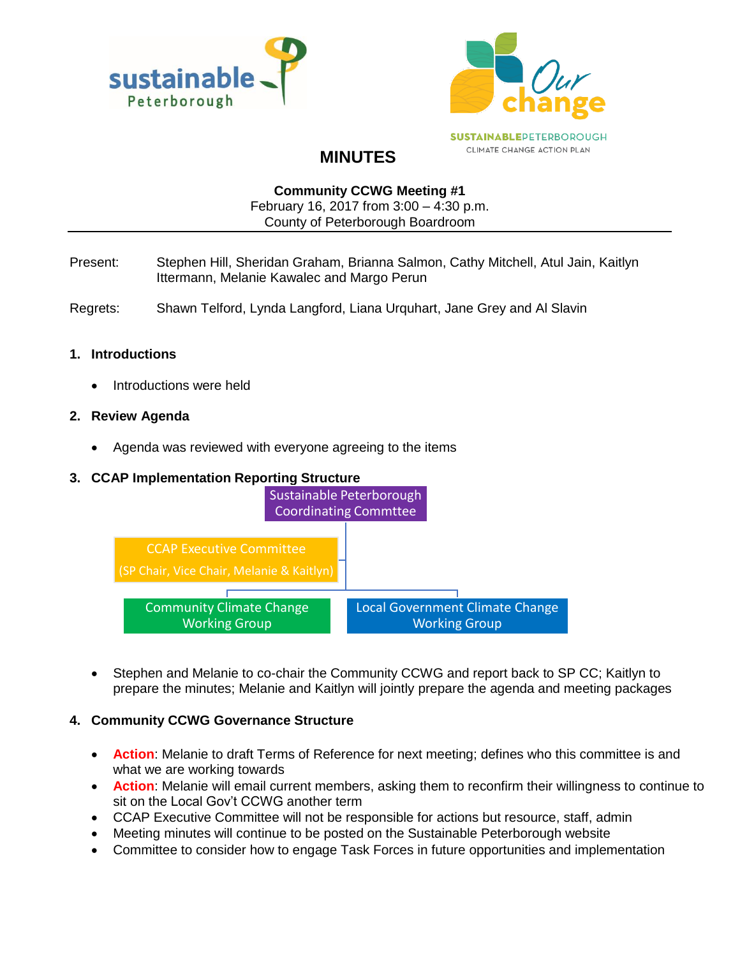



# **MINUTES**

#### **Community CCWG Meeting #1**

February 16, 2017 from 3:00 – 4:30 p.m. County of Peterborough Boardroom

- Present: Stephen Hill, Sheridan Graham, Brianna Salmon, Cathy Mitchell, Atul Jain, Kaitlyn Ittermann, Melanie Kawalec and Margo Perun
- Regrets: Shawn Telford, Lynda Langford, Liana Urquhart, Jane Grey and Al Slavin

#### **1. Introductions**

• Introductions were held

#### **2. Review Agenda**

• Agenda was reviewed with everyone agreeing to the items

### **3. CCAP Implementation Reporting Structure**



 Stephen and Melanie to co-chair the Community CCWG and report back to SP CC; Kaitlyn to prepare the minutes; Melanie and Kaitlyn will jointly prepare the agenda and meeting packages

## **4. Community CCWG Governance Structure**

- **Action**: Melanie to draft Terms of Reference for next meeting; defines who this committee is and what we are working towards
- **Action**: Melanie will email current members, asking them to reconfirm their willingness to continue to sit on the Local Gov't CCWG another term
- CCAP Executive Committee will not be responsible for actions but resource, staff, admin
- Meeting minutes will continue to be posted on the Sustainable Peterborough website
- Committee to consider how to engage Task Forces in future opportunities and implementation